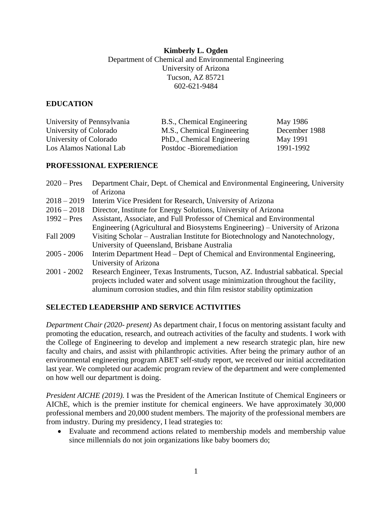# **Kimberly L. Ogden** Department of Chemical and Environmental Engineering University of Arizona Tucson, AZ 85721 602-621-9484

# **EDUCATION**

| University of Pennsylvania | B.S., Chemical Engineering | May 1986      |
|----------------------------|----------------------------|---------------|
| University of Colorado     | M.S., Chemical Engineering | December 1988 |
| University of Colorado     | PhD., Chemical Engineering | May 1991      |
| Los Alamos National Lab    | Postdoc -Bioremediation    | 1991-1992     |

# **PROFESSIONAL EXPERIENCE**

| $2020 - Pres$    | Department Chair, Dept. of Chemical and Environmental Engineering, University    |
|------------------|----------------------------------------------------------------------------------|
|                  | of Arizona                                                                       |
| $2018 - 2019$    | Interim Vice President for Research, University of Arizona                       |
| $2016 - 2018$    | Director, Institute for Energy Solutions, University of Arizona                  |
| $1992 - Pres$    | Assistant, Associate, and Full Professor of Chemical and Environmental           |
|                  | Engineering (Agricultural and Biosystems Engineering) – University of Arizona    |
| <b>Fall 2009</b> | Visiting Scholar – Australian Institute for Biotechnology and Nanotechnology,    |
|                  | University of Queensland, Brisbane Australia                                     |
| $2005 - 2006$    | Interim Department Head – Dept of Chemical and Environmental Engineering,        |
|                  | University of Arizona                                                            |
| $2001 - 2002$    | Research Engineer, Texas Instruments, Tucson, AZ. Industrial sabbatical. Special |
|                  | projects included water and solvent usage minimization throughout the facility,  |
|                  | aluminum corrosion studies, and thin film resistor stability optimization        |

# **SELECTED LEADERSHIP AND SERVICE ACTIVITIES**

*Department Chair (2020- present)* As department chair, I focus on mentoring assistant faculty and promoting the education, research, and outreach activities of the faculty and students. I work with the College of Engineering to develop and implement a new research strategic plan, hire new faculty and chairs, and assist with philanthropic activities. After being the primary author of an environmental engineering program ABET self-study report, we received our initial accreditation last year. We completed our academic program review of the department and were complemented on how well our department is doing.

*President AICHE (2019).* I was the President of the American Institute of Chemical Engineers or AIChE, which is the premier institute for chemical engineers. We have approximately 30,000 professional members and 20,000 student members. The majority of the professional members are from industry. During my presidency, I lead strategies to:

• Evaluate and recommend actions related to membership models and membership value since millennials do not join organizations like baby boomers do;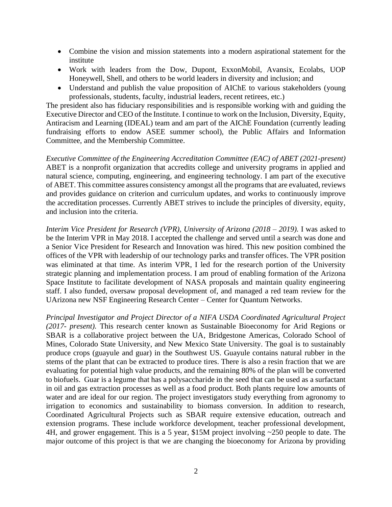- Combine the vision and mission statements into a modern aspirational statement for the institute
- Work with leaders from the Dow, Dupont, ExxonMobil, Avansix, Ecolabs, UOP Honeywell, Shell, and others to be world leaders in diversity and inclusion; and
- Understand and publish the value proposition of AIChE to various stakeholders (young professionals, students, faculty, industrial leaders, recent retirees, etc.)

The president also has fiduciary responsibilities and is responsible working with and guiding the Executive Director and CEO of the Institute. I continue to work on the Inclusion, Diversity, Equity, Antiracism and Learning (IDEAL) team and am part of the AIChE Foundation (currently leading fundraising efforts to endow ASEE summer school), the Public Affairs and Information Committee, and the Membership Committee.

*Executive Committee of the Engineering Accreditation Committee (EAC) of ABET (2021-present)* ABET is a nonprofit organization that accredits college and university programs in applied and natural science, computing, engineering, and engineering technology. I am part of the executive of ABET. This committee assures consistency amongst all the programs that are evaluated, reviews and provides guidance on criterion and curriculum updates, and works to continuously improve the accreditation processes. Currently ABET strives to include the principles of diversity, equity, and inclusion into the criteria.

*Interim Vice President for Research (VPR), University of Arizona (2018 – 2019).* I was asked to be the Interim VPR in May 2018. I accepted the challenge and served until a search was done and a Senior Vice President for Research and Innovation was hired. This new position combined the offices of the VPR with leadership of our technology parks and transfer offices. The VPR position was eliminated at that time. As interim VPR, I led for the research portion of the University strategic planning and implementation process. I am proud of enabling formation of the Arizona Space Institute to facilitate development of NASA proposals and maintain quality engineering staff. I also funded, oversaw proposal development of, and managed a red team review for the UArizona new NSF Engineering Research Center – Center for Quantum Networks.

*Principal Investigator and Project Director of a NIFA USDA Coordinated Agricultural Project (2017- present).* This research center known as Sustainable Bioeconomy for Arid Regions or SBAR is a collaborative project between the UA, Bridgestone Americas, Colorado School of Mines, Colorado State University, and New Mexico State University. The goal is to sustainably produce crops (guayule and guar) in the Southwest US. Guayule contains natural rubber in the stems of the plant that can be extracted to produce tires. There is also a resin fraction that we are evaluating for potential high value products, and the remaining 80% of the plan will be converted to biofuels. Guar is a legume that has a polysaccharide in the seed that can be used as a surfactant in oil and gas extraction processes as well as a food product. Both plants require low amounts of water and are ideal for our region. The project investigators study everything from agronomy to irrigation to economics and sustainability to biomass conversion. In addition to research, Coordinated Agricultural Projects such as SBAR require extensive education, outreach and extension programs. These include workforce development, teacher professional development, 4H, and grower engagement. This is a 5 year, \$15M project involving ~250 people to date. The major outcome of this project is that we are changing the bioeconomy for Arizona by providing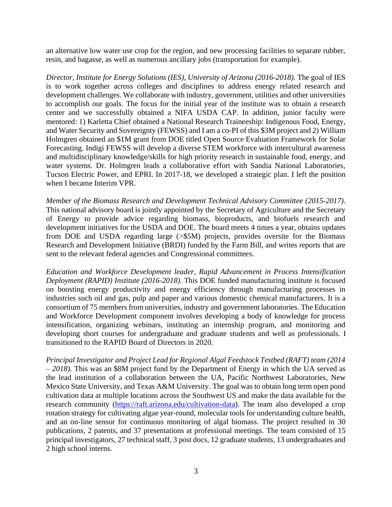an alternative low water use crop for the region, and new processing facilities to separate rubber, resin, and bagasse, as well as numerous ancillary jobs (transportation for example).

*Director, Institute for Energy Solutions (IES), University of Arizona (2016-2018).* The goal of IES is to work together across colleges and disciplines to address energy related research and development challenges. We collaborate with industry, government, utilities and other universities to accomplish our goals. The focus for the initial year of the institute was to obtain a research center and we successfully obtained a NIFA USDA CAP. In addition, junior faculty were mentored: 1) Karletta Chief obtained a National Research Traineeship: Indigenous Food, Energy, and Water Security and Sovereignty (FEWSS) and I am a co-PI of this \$3M project and 2) William Holmgren obtained an \$1M grant from DOE titled Open Source Evaluation Framework for Solar Forecasting. Indigi FEWSS will develop a diverse STEM workforce with intercultural awareness and multidisciplinary knowledge/skills for high priority research in sustainable food, energy, and water systems. Dr. Holmgren leads a collaborative effort with Sandia National Laboratories, Tucson Electric Power, and EPRI. In 2017-18, we developed a strategic plan. I left the position when I became Interim VPR.

*Member of the Biomass Research and Development Technical Advisory Committee (2015-2017)*. This national advisory board is jointly appointed by the Secretary of Agriculture and the Secretary of Energy to provide advice regarding biomass, bioproducts, and biofuels research and development initiatives for the USDA and DOE. The board meets 4 times a year, obtains updates from DOE and USDA regarding large (>\$5M) projects, provides oversite for the Biomass Research and Development Initiative (BRDI) funded by the Farm Bill, and writes reports that are sent to the relevant federal agencies and Congressional committees.

*Education and Workforce Development leader, Rapid Advancement in Process Intensification Deployment (RAPID) Institute (2016-2018).* This DOE funded manufacturing institute is focused on boosting energy productivity and energy efficiency through manufacturing processes in industries such oil and gas, pulp and paper and various domestic chemical manufacturers. It is a consortium of 75 members from universities, industry and government laboratories. The Education and Workforce Development component involves developing a body of knowledge for process intensification, organizing webinars, instituting an internship program, and monitoring and developing short courses for undergraduate and graduate students and well as professionals. I transitioned to the RAPID Board of Directors in 2020.

*Principal Investigator and Project Lead for Regional Algal Feedstock Testbed (RAFT) team (2014 – 2018).* This was an \$8M project fund by the Department of Energy in which the UA served as the lead institution of a collaboration between the UA, Pacific Northwest Laboratories, New Mexico State University, and Texas A&M University. The goal was to obtain long term open pond cultivation data at multiple locations across the Southwest US and make the data available for the research community [\(https://raft.arizona.edu/cultivation-data\)](https://raft.arizona.edu/cultivation-data). The team also developed a crop rotation strategy for cultivating algae year-round, molecular tools for understanding culture health, and an on-line sensor for continuous monitoring of algal biomass. The project resulted in 30 publications, 2 patents, and 37 presentations at professional meetings. The team consisted of 15 principal investigators, 27 technical staff, 3 post docs, 12 graduate students, 13 undergraduates and 2 high school interns.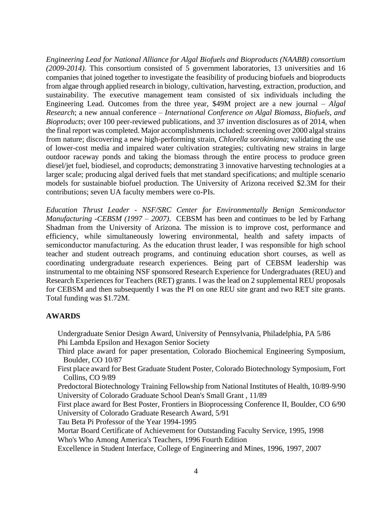*Engineering Lead for National Alliance for Algal Biofuels and Bioproducts (NAABB) consortium (2009-2014).* This consortium consisted of 5 government laboratories, 13 universities and 16 companies that joined together to investigate the feasibility of producing biofuels and bioproducts from algae through applied research in biology, cultivation, harvesting, extraction, production, and sustainability. The executive management team consisted of six individuals including the Engineering Lead. Outcomes from the three year, \$49M project are a new journal – *Algal Research*; a new annual conference – *International Conference on Algal Biomass, Biofuels, and Bioproducts*; over 100 peer-reviewed publications, and 37 invention disclosures as of 2014, when the final report was completed. Major accomplishments included: screening over 2000 algal strains from nature; discovering a new high-performing strain, *Chlorella sorokiniana*; validating the use of lower-cost media and impaired water cultivation strategies; cultivating new strains in large outdoor raceway ponds and taking the biomass through the entire process to produce green diesel/jet fuel, biodiesel, and coproducts; demonstrating 3 innovative harvesting technologies at a larger scale; producing algal derived fuels that met standard specifications; and multiple scenario models for sustainable biofuel production. The University of Arizona received \$2.3M for their contributions; seven UA faculty members were co-PIs.

*Education Thrust Leader - NSF/SRC Center for Environmentally Benign Semiconductor Manufacturing -CEBSM (1997 – 2007)*. CEBSM has been and continues to be led by Farhang Shadman from the University of Arizona. The mission is to improve cost, performance and efficiency, while simultaneously lowering environmental, health and safety impacts of semiconductor manufacturing. As the education thrust leader, I was responsible for high school teacher and student outreach programs, and continuing education short courses, as well as coordinating undergraduate research experiences. Being part of CEBSM leadership was instrumental to me obtaining NSF sponsored Research Experience for Undergraduates (REU) and Research Experiences for Teachers (RET) grants. I was the lead on 2 supplemental REU proposals for CEBSM and then subsequently I was the PI on one REU site grant and two RET site grants. Total funding was \$1.72M.

## **AWARDS**

- Undergraduate Senior Design Award, University of Pennsylvania, Philadelphia, PA 5/86 Phi Lambda Epsilon and Hexagon Senior Society
- Third place award for paper presentation, Colorado Biochemical Engineering Symposium, Boulder, CO 10/87
- First place award for Best Graduate Student Poster, Colorado Biotechnology Symposium, Fort Collins, CO 9/89
- Predoctoral Biotechnology Training Fellowship from National Institutes of Health, 10/89-9/90 University of Colorado Graduate School Dean's Small Grant , 11/89
- First place award for Best Poster, Frontiers in Bioprocessing Conference II, Boulder, CO 6/90 University of Colorado Graduate Research Award, 5/91
- Tau Beta Pi Professor of the Year 1994-1995
- Mortar Board Certificate of Achievement for Outstanding Faculty Service, 1995, 1998
- Who's Who Among America's Teachers, 1996 Fourth Edition
- Excellence in Student Interface, College of Engineering and Mines, 1996, 1997, 2007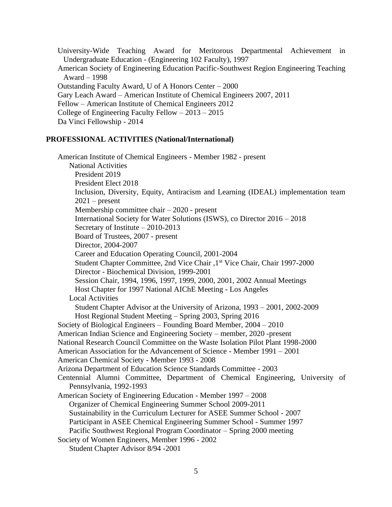University-Wide Teaching Award for Meritorous Departmental Achievement in Undergraduate Education - (Engineering 102 Faculty), 1997 American Society of Engineering Education Pacific-Southwest Region Engineering Teaching Award – 1998 Outstanding Faculty Award, U of A Honors Center – 2000 Gary Leach Award – American Institute of Chemical Engineers 2007, 2011 Fellow – American Institute of Chemical Engineers 2012 College of Engineering Faculty Fellow – 2013 – 2015 Da Vinci Fellowship - 2014

#### **PROFESSIONAL ACTIVITIES (National/International)**

American Institute of Chemical Engineers - Member 1982 - present National Activities President 2019 President Elect 2018 Inclusion, Diversity, Equity, Antiracism and Learning (IDEAL) implementation team  $2021$  – present Membership committee chair – 2020 - present International Society for Water Solutions (ISWS), co Director 2016 – 2018 Secretary of Institute – 2010-2013 Board of Trustees, 2007 - present Director, 2004-2007 Career and Education Operating Council, 2001-2004 Student Chapter Committee, 2nd Vice Chair ,1st Vice Chair, Chair 1997-2000 Director - Biochemical Division, 1999-2001 Session Chair, 1994, 1996, 1997, 1999, 2000, 2001, 2002 Annual Meetings Host Chapter for 1997 National AIChE Meeting - Los Angeles Local Activities Student Chapter Advisor at the University of Arizona, 1993 – 2001, 2002-2009 Host Regional Student Meeting – Spring 2003, Spring 2016 Society of Biological Engineers – Founding Board Member, 2004 – 2010 American Indian Science and Engineering Society – member, 2020 -present National Research Council Committee on the Waste Isolation Pilot Plant 1998-2000 American Association for the Advancement of Science - Member 1991 – 2001 American Chemical Society - Member 1993 - 2008 Arizona Department of Education Science Standards Committee - 2003 Centennial Alumni Committee, Department of Chemical Engineering, University of Pennsylvania, 1992-1993 American Society of Engineering Education - Member 1997 – 2008 Organizer of Chemical Engineering Summer School 2009-2011 Sustainability in the Curriculum Lecturer for ASEE Summer School - 2007 Participant in ASEE Chemical Engineering Summer School - Summer 1997 Pacific Southwest Regional Program Coordinator – Spring 2000 meeting Society of Women Engineers, Member 1996 - 2002 Student Chapter Advisor 8/94 -2001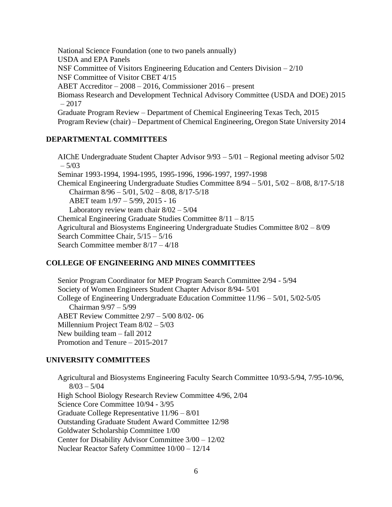National Science Foundation (one to two panels annually) USDA and EPA Panels NSF Committee of Visitors Engineering Education and Centers Division – 2/10 NSF Committee of Visitor CBET 4/15 ABET Accreditor – 2008 – 2016, Commissioner 2016 – present Biomass Research and Development Technical Advisory Committee (USDA and DOE) 2015  $-2017$ Graduate Program Review – Department of Chemical Engineering Texas Tech, 2015 Program Review (chair) – Department of Chemical Engineering, Oregon State University 2014

## **DEPARTMENTAL COMMITTEES**

AIChE Undergraduate Student Chapter Advisor 9/93 – 5/01 – Regional meeting advisor 5/02  $-5/03$ Seminar 1993-1994, 1994-1995, 1995-1996, 1996-1997, 1997-1998 Chemical Engineering Undergraduate Studies Committee 8/94 – 5/01, 5/02 – 8/08, 8/17-5/18 Chairman 8/96 – 5/01, 5/02 – 8/08, 8/17-5/18 ABET team 1/97 – 5/99, 2015 - 16 Laboratory review team chair 8/02 – 5/04 Chemical Engineering Graduate Studies Committee 8/11 – 8/15 Agricultural and Biosystems Engineering Undergraduate Studies Committee 8/02 – 8/09 Search Committee Chair, 5/15 – 5/16 Search Committee member 8/17 – 4/18

## **COLLEGE OF ENGINEERING AND MINES COMMITTEES**

Senior Program Coordinator for MEP Program Search Committee 2/94 - 5/94 Society of Women Engineers Student Chapter Advisor 8/94- 5/01 College of Engineering Undergraduate Education Committee 11/96 – 5/01, 5/02-5/05 Chairman 9/97 – 5/99 ABET Review Committee 2/97 – 5/00 8/02- 06 Millennium Project Team 8/02 – 5/03 New building team – fall 2012 Promotion and Tenure – 2015-2017

## **UNIVERSITY COMMITTEES**

Agricultural and Biosystems Engineering Faculty Search Committee 10/93-5/94, 7/95-10/96,  $8/03 - 5/04$ High School Biology Research Review Committee 4/96, 2/04 Science Core Committee 10/94 - 3/95 Graduate College Representative 11/96 – 8/01 Outstanding Graduate Student Award Committee 12/98 Goldwater Scholarship Committee 1/00 Center for Disability Advisor Committee 3/00 – 12/02 Nuclear Reactor Safety Committee 10/00 – 12/14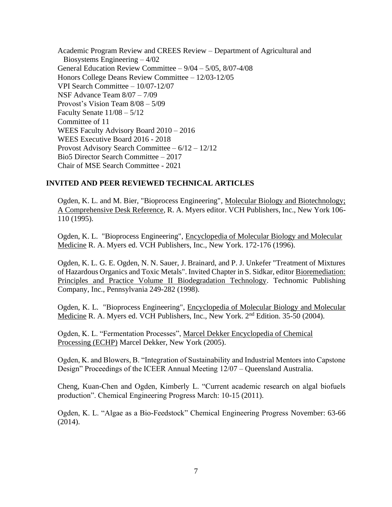Academic Program Review and CREES Review – Department of Agricultural and Biosystems Engineering – 4/02 General Education Review Committee – 9/04 – 5/05, 8/07-4/08 Honors College Deans Review Committee – 12/03-12/05 VPI Search Committee – 10/07-12/07 NSF Advance Team 8/07 – 7/09 Provost's Vision Team 8/08 – 5/09 Faculty Senate 11/08 – 5/12 Committee of 11 WEES Faculty Advisory Board 2010 – 2016 WEES Executive Board 2016 - 2018 Provost Advisory Search Committee – 6/12 – 12/12 Bio5 Director Search Committee – 2017 Chair of MSE Search Committee - 2021

## **INVITED AND PEER REVIEWED TECHNICAL ARTICLES**

Ogden, K. L. and M. Bier, "Bioprocess Engineering", Molecular Biology and Biotechnology; A Comprehensive Desk Reference, R. A. Myers editor. VCH Publishers, Inc., New York 106- 110 (1995).

Ogden, K. L. "Bioprocess Engineering", Encyclopedia of Molecular Biology and Molecular Medicine R. A. Myers ed. VCH Publishers, Inc., New York. 172-176 (1996).

Ogden, K. L. G. E. Ogden, N. N. Sauer, J. Brainard, and P. J. Unkefer "Treatment of Mixtures of Hazardous Organics and Toxic Metals". Invited Chapter in S. Sidkar, editor Bioremediation: Principles and Practice Volume II Biodegradation Technology. Technomic Publishing Company, Inc., Pennsylvania 249-282 (1998).

Ogden, K. L. "Bioprocess Engineering", Encyclopedia of Molecular Biology and Molecular Medicine R. A. Myers ed. VCH Publishers, Inc., New York. 2<sup>nd</sup> Edition. 35-50 (2004).

Ogden, K. L. "Fermentation Processes", Marcel Dekker Encyclopedia of Chemical Processing (ECHP) Marcel Dekker, New York (2005).

Ogden, K. and Blowers, B. "Integration of Sustainability and Industrial Mentors into Capstone Design" Proceedings of the ICEER Annual Meeting 12/07 – Queensland Australia.

Cheng, Kuan-Chen and Ogden, Kimberly L. "Current academic research on algal biofuels production". Chemical Engineering Progress March: 10-15 (2011).

Ogden, K. L. "Algae as a Bio-Feedstock" Chemical Engineering Progress November: 63-66 (2014).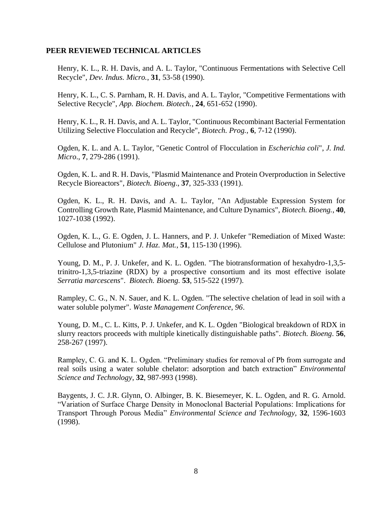#### **PEER REVIEWED TECHNICAL ARTICLES**

Henry, K. L., R. H. Davis, and A. L. Taylor, "Continuous Fermentations with Selective Cell Recycle", *Dev. Indus. Micro.*, **31**, 53-58 (1990).

Henry, K. L., C. S. Parnham, R. H. Davis, and A. L. Taylor, "Competitive Fermentations with Selective Recycle", *App. Biochem. Biotech.*, **24**, 651-652 (1990).

Henry, K. L., R. H. Davis, and A. L. Taylor, "Continuous Recombinant Bacterial Fermentation Utilizing Selective Flocculation and Recycle", *Biotech. Prog.*, **6**, 7-12 (1990).

Ogden, K. L. and A. L. Taylor, "Genetic Control of Flocculation in *Escherichia coli*", *J. Ind. Micro*., **7**, 279-286 (1991).

Ogden, K. L. and R. H. Davis, "Plasmid Maintenance and Protein Overproduction in Selective Recycle Bioreactors", *Biotech. Bioeng*., **37**, 325-333 (1991).

Ogden, K. L., R. H. Davis, and A. L. Taylor, "An Adjustable Expression System for Controlling Growth Rate, Plasmid Maintenance, and Culture Dynamics", *Biotech. Bioeng.*, **40**, 1027-1038 (1992).

Ogden, K. L., G. E. Ogden, J. L. Hanners, and P. J. Unkefer "Remediation of Mixed Waste: Cellulose and Plutonium" *J. Haz. Mat.*, **51**, 115-130 (1996).

Young, D. M., P. J. Unkefer, and K. L. Ogden. "The biotransformation of hexahydro-1,3,5 trinitro-1,3,5-triazine (RDX) by a prospective consortium and its most effective isolate *Serratia marcescens*". *Biotech. Bioeng.* **53**, 515-522 (1997).

Rampley, C. G., N. N. Sauer, and K. L. Ogden. "The selective chelation of lead in soil with a water soluble polymer". *Waste Management Conference, 96*.

Young, D. M., C. L. Kitts, P. J. Unkefer, and K. L. Ogden "Biological breakdown of RDX in slurry reactors proceeds with multiple kinetically distinguishable paths". *Biotech. Bioeng*. **56**, 258-267 (1997).

Rampley, C. G. and K. L. Ogden. "Preliminary studies for removal of Pb from surrogate and real soils using a water soluble chelator: adsorption and batch extraction" *Environmental Science and Technology*, **32**, 987-993 (1998).

Baygents, J. C. J.R. Glynn, O. Albinger, B. K. Biesemeyer, K. L. Ogden, and R. G. Arnold. "Variation of Surface Charge Density in Monoclonal Bacterial Populations: Implications for Transport Through Porous Media" *Environmental Science and Technology,* **32**, 1596-1603 (1998).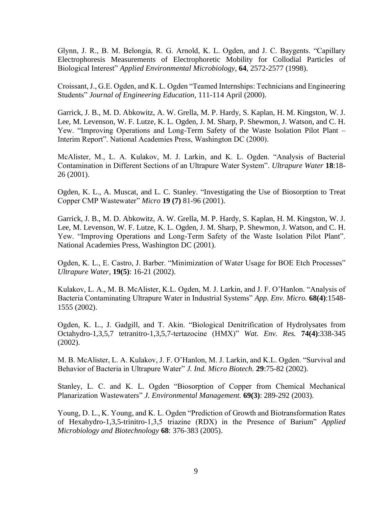Glynn, J. R., B. M. Belongia, R. G. Arnold, K. L. Ogden, and J. C. Baygents. "Capillary Electrophoresis Measurements of Electrophoretic Mobility for Collodial Particles of Biological Interest" *Applied Environmental Microbiology*, **64**, 2572-2577 (1998).

Croissant, J., G.E. Ogden, and K. L. Ogden "Teamed Internships: Technicians and Engineering Students" *Journal of Engineering Education,* 111-114 April (2000).

Garrick, J. B., M. D. Abkowitz, A. W. Grella, M. P. Hardy, S. Kaplan, H. M. Kingston, W. J. Lee, M. Levenson, W. F. Lutze, K. L. Ogden, J. M. Sharp, P. Shewmon, J. Watson, and C. H. Yew. "Improving Operations and Long-Term Safety of the Waste Isolation Pilot Plant – Interim Report". National Academies Press, Washington DC (2000).

McAlister, M., L. A. Kulakov, M. J. Larkin, and K. L. Ogden. "Analysis of Bacterial Contamination in Different Sections of an Ultrapure Water System". *Ultrapure Water* **18**:18- 26 (2001).

Ogden, K. L., A. Muscat, and L. C. Stanley. "Investigating the Use of Biosorption to Treat Copper CMP Wastewater" *Micro* **19 (7)** 81-96 (2001).

Garrick, J. B., M. D. Abkowitz, A. W. Grella, M. P. Hardy, S. Kaplan, H. M. Kingston, W. J. Lee, M. Levenson, W. F. Lutze, K. L. Ogden, J. M. Sharp, P. Shewmon, J. Watson, and C. H. Yew. "Improving Operations and Long-Term Safety of the Waste Isolation Pilot Plant". National Academies Press, Washington DC (2001).

Ogden, K. L., E. Castro, J. Barber. "Minimization of Water Usage for BOE Etch Processes" *Ultrapure Water*, **19(5)**: 16-21 (2002).

Kulakov, L. A., M. B. McAlister, K.L. Ogden, M. J. Larkin, and J. F. O'Hanlon. "Analysis of Bacteria Contaminating Ultrapure Water in Industrial Systems" *App. Env. Micro.* **68(4)**:1548- 1555 (2002).

Ogden, K. L., J. Gadgill, and T. Akin. "Biological Denitrification of Hydrolysates from Octahydro-1,3,5,7 tetranitro-1,3,5,7-tertazocine (HMX)" *Wat. Env. Res.* **74(4)**:338-345 (2002).

M. B. McAlister, L. A. Kulakov, J. F. O'Hanlon, M. J. Larkin, and K.L. Ogden. "Survival and Behavior of Bacteria in Ultrapure Water" *J. Ind. Micro Biotech.* **29**:75-82 (2002).

Stanley, L. C. and K. L. Ogden "Biosorption of Copper from Chemical Mechanical Planarization Wastewaters" *J. Environmental Management.* **69(3)**: 289-292 (2003).

Young, D. L., K. Young, and K. L. Ogden "Prediction of Growth and Biotransformation Rates of Hexahydro-1,3,5-trinitro-1,3,5 triazine (RDX) in the Presence of Barium" *Applied Microbiology and Biotechnology* **68**: 376-383 (2005).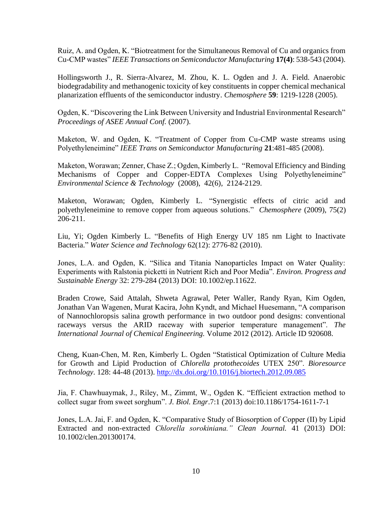Ruiz, A. and Ogden, K. "Biotreatment for the Simultaneous Removal of Cu and organics from Cu-CMP wastes" *IEEE Transactions on Semiconductor Manufacturing* **17(4)**: 538-543 (2004).

Hollingsworth J., R. Sierra-Alvarez, M. Zhou, K. L. Ogden and J. A. Field. Anaerobic biodegradability and methanogenic toxicity of key constituents in copper chemical mechanical planarization effluents of the semiconductor industry. *Chemosphere* **59**: 1219-1228 (2005).

Ogden, K. "Discovering the Link Between University and Industrial Environmental Research" *Proceedings of ASEE Annual Conf.* (2007).

Maketon, W. and Ogden, K. "Treatment of Copper from Cu-CMP waste streams using Polyethyleneimine" *IEEE Trans on Semiconductor Manufacturing* **21**:481-485 (2008).

Maketon, Worawan; Zenner, Chase Z.; Ogden, Kimberly L. "Removal Efficiency and Binding Mechanisms of Copper and Copper-EDTA Complexes Using Polyethyleneimine" *Environmental Science & Technology* (2008), 42(6), 2124-2129.

Maketon, Worawan; Ogden, Kimberly L. "Synergistic effects of citric acid and polyethyleneimine to remove copper from aqueous solutions." *Chemosphere* (2009), 75(2) 206-211.

Liu, Yi; Ogden Kimberly L. "Benefits of High Energy UV 185 nm Light to Inactivate Bacteria." *Water Science and Technology* 62(12): 2776-82 (2010).

Jones, L.A. and Ogden, K. "Silica and Titania Nanoparticles Impact on Water Quality: Experiments with Ralstonia picketti in Nutrient Rich and Poor Media". *Environ. Progress and Sustainable Energy* 32: 279-284 (2013) DOI: 10.1002/ep.11622.

Braden Crowe, Said Attalah, Shweta Agrawal, Peter Waller, Randy Ryan, Kim Ogden, Jonathan Van Wagenen, Murat Kacira, John Kyndt, and Michael Huesemann, "A comparison of Nannochloropsis salina growth performance in two outdoor pond designs: conventional raceways versus the ARID raceway with superior temperature management". *The International Journal of Chemical Engineering.* Volume 2012 (2012). Article ID 920608.

Cheng, Kuan-Chen, M. Ren, Kimberly L. Ogden "Statistical Optimization of Culture Media for Growth and Lipid Production of *Chlorella protothecoides* UTEX 250". *Bioresource Technology*. 128: 44-48 (2013). <http://dx.doi.org/10.1016/j.biortech.2012.09.085>

Jia, F. Chawhuaymak, J., Riley, M., Zimmt, W., Ogden K. "Efficient extraction method to collect sugar from sweet sorghum". *J. Biol. Engr*.7:1 (2013) doi:10.1186/1754-1611-7-1

Jones, L.A. Jai, F. and Ogden, K. "Comparative Study of Biosorption of Copper (II) by Lipid Extracted and non-extracted *Chlorella sorokiniana." Clean Journal.* 41 (2013) DOI: 10.1002/clen.201300174.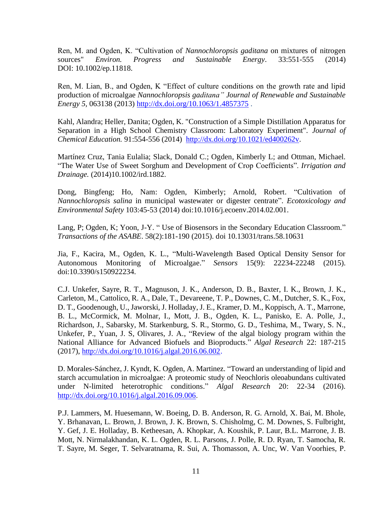Ren, M. and Ogden, K. "Cultivation of *Nannochloropsis gaditana* on mixtures of nitrogen sources" *Environ. Progress and Sustainable Energy*. 33:551-555 (2014) DOI: 10.1002/ep.11818.

Ren, M. Lian, B., and Ogden, K "Effect of culture conditions on the growth rate and lipid production of microalgae *Nannochloropsis gaditana" Journal of Renewable and Sustainable Energy 5,* 063138 (2013) <http://dx.doi.org/10.1063/1.4857375> .

Kahl, Alandra; Heller, Danita; Ogden, K. "Construction of a Simple Distillation Apparatus for Separation in a High School Chemistry Classroom: Laboratory Experiment". *Journal of Chemical Education.* 91:554-556 (2014) [http://dx.doi.org/10.1021/ed400262v.](http://dx.doi.org/10.1021/ed400262v)

Martínez Cruz, Tania Eulalia; Slack, Donald C.; Ogden, Kimberly L; and Ottman, Michael. "The Water Use of Sweet Sorghum and Development of Crop Coefficients". *Irrigation and Drainage.* (2014)10.1002/ird.1882.

Dong, Bingfeng; Ho, Nam: Ogden, Kimberly; Arnold, Robert. "Cultivation of *Nannochloropsis salina* in municipal wastewater or digester centrate". *Ecotoxicology and Environmental Safety* 103:45-53 (2014) doi:10.1016/j.ecoenv.2014.02.001.

Lang, P; Ogden, K; Yoon, J-Y. " Use of Biosensors in the Secondary Education Classroom." *Transactions of the ASABE*. 58(2):181-190 (2015). doi 10.13031/trans.58.10631

Jia, F., Kacira, M., Ogden, K. L., "Multi-Wavelength Based Optical Density Sensor for Autonomous Monitoring of Microalgae." *Sensors* 15(9): 22234-22248 (2015). doi:10.3390/s150922234.

C.J. Unkefer, Sayre, R. T., Magnuson, J. K., Anderson, D. B., Baxter, I. K., Brown, J. K., Carleton, M., Cattolico, R. A., Dale, T., Devareene, T. P., Downes, C. M., Dutcher, S. K., Fox, D. T., Goodenough, U., Jaworski, J. Holladay, J. E., Kramer, D. M., Koppisch, A. T., Marrone, B. L., McCormick, M. Molnar, I., Mott, J. B., Ogden, K. L., Panisko, E. A. Polle, J., Richardson, J., Sabarsky, M. Starkenburg, S. R., Stormo, G. D., Teshima, M., Twary, S. N., Unkefer, P., Yuan, J. S, Olivares, J. A., "Review of the algal biology program within the National Alliance for Advanced Biofuels and Bioproducts." *Algal Research* 22: 187-215 (2017), [http://dx.doi.org/10.1016/j.algal.2016.06.002.](http://dx.doi.org/10.1016/j.algal.2016.06.002)

D. Morales-Sánchez, J. Kyndt, K. Ogden, A. Martinez. ["Toward an understanding of lipid and](http://www.sciencedirect.com/science/article/pii/S2211926416303332)  [starch accumulation in microalgae: A proteomic study of Neochloris oleoabundans](http://www.sciencedirect.com/science/article/pii/S2211926416303332) cultivated [under N-limited heterotrophic conditions.](http://www.sciencedirect.com/science/article/pii/S2211926416303332)" *Algal Research* 20: 22-34 (2016). [http://dx.doi.org/10.1016/j.algal.2016.09.006.](http://dx.doi.org/10.1016/j.algal.2016.09.006)

P.J. Lammers, M. Huesemann, W. Boeing, D. B. Anderson, R. G. Arnold, X. Bai, M. Bhole, Y. Brhanavan, L. Brown, J. Brown, J. K. Brown, S. Chisholmg, C. M. Downes, S. Fulbright, Y. Gef, J. E. Holladay, B. Ketheesan, A. Khopkar, A. Koushik, P. Laur, B.L. Marrone, J. B. Mott, N. Nirmalakhandan, K. L. Ogden, R. L. Parsons, J. Polle, R. D. Ryan, T. Samocha, R. T. Sayre, M. Seger, T. Selvaratnama, R. Sui, A. Thomasson, A. Unc, W. Van Voorhies, P.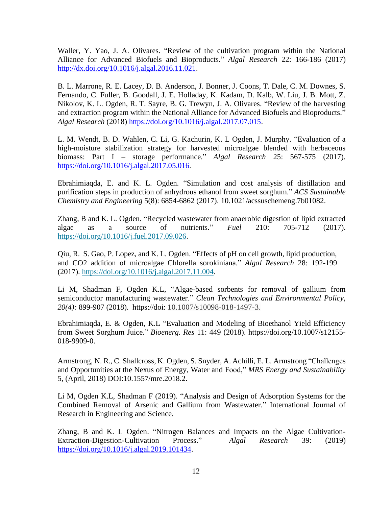Waller, Y. Yao, J. A. Olivares. "Review of the cultivation program within the National Alliance for Advanced Biofuels and Bioproducts." *Algal Research* 22: 166-186 (2017) [http://dx.doi.org/10.1016/j.algal.2016.11.021.](http://dx.doi.org/10.1016/j.algal.2016.11.021)

B. L. Marrone, R. E. Lacey, D. B. Anderson, J. Bonner, J. Coons, T. Dale, C. M. Downes, S. Fernando, C. Fuller, B. Goodall, J. E. Holladay, K. Kadam, D. Kalb, W. Liu, J. B. Mott, Z. Nikolov, K. L. Ogden, R. T. Sayre, B. G. Trewyn, J. A. Olivares. "Review of the harvesting and extraction program within the National Alliance for Advanced Biofuels and Bioproducts." *Algal Research* (2018) [https://doi.org/10.1016/j.algal.2017.07.015.](https://doi.org/10.1016/j.algal.2017.07.015)

L. M. Wendt, B. D. Wahlen, C. Li, G. Kachurin, K. L Ogden, J. Murphy. "Evaluation of a high-moisture stabilization strategy for harvested microalgae blended with herbaceous biomass: Part I – storage performance." *Algal Research* 25: 567-575 (2017). [https://doi.org/10.1016/j.algal.2017.05.016.](https://doi.org/10.1016/j.algal.2017.05.016)

Ebrahimiaqda, E. and K. L. Ogden. "Simulation and cost analysis of distillation and purification steps in production of anhydrous ethanol from sweet sorghum." *ACS Sustainable Chemistry and Engineering* 5(8): 6854-6862 (2017). 10.1021/acssuschemeng.7b01082.

Zhang, B and K. L. Ogden. "Recycled wastewater from anaerobic digestion of lipid extracted algae as a source of nutrients." *Fuel* 210: 705-712 (2017). [https://doi.org/10.1016/j.fuel.2017.09.026.](https://doi.org/10.1016/j.fuel.2017.09.026)

Qiu, R. S. Gao, P. Lopez, and K. L. Ogden. "Effects of pH on cell growth, lipid production, and CO2 addition of microalgae Chlorella sorokiniana." *Algal Research* 28: 192-199 (2017). [https://doi.org/10.1016/j.algal.2017.11.004.](https://doi.org/10.1016/j.algal.2017.11.004)

Li M, Shadman F, Ogden K.L, "Algae-based sorbents for removal of gallium from semiconductor manufacturing wastewater." *Clean Technologies and Environmental Policy, 20(4):* 899-907 (2018). https://doi: 10.1007/s10098-018-1497-3.

Ebrahimiaqda, E. & Ogden, K.L "Evaluation and Modeling of Bioethanol Yield Efficiency from Sweet Sorghum Juice." *Bioenerg. Res* 11: 449 (2018). [https://doi.org/10.1007/s12155-](https://doi.org/10.1007/s12155-018-9909-0) [018-9909-0.](https://doi.org/10.1007/s12155-018-9909-0)

Armstrong, N. R., C. Shallcross, K. Ogden, S. Snyder, A. Achilli, E. L. Armstrong "Challenges and Opportunities at the Nexus of Energy, Water and Food," *MRS Energy and Sustainability* 5, (April, 2018) DOI:10.1557/mre.2018.2.

Li M, Ogden K.L, Shadman F (2019). "Analysis and Design of Adsorption Systems for the Combined Removal of Arsenic and Gallium from Wastewater." International Journal of Research in Engineering and Science.

Zhang, B and K. L Ogden. "Nitrogen Balances and Impacts on the Algae Cultivation-Extraction-Digestion-Cultivation Process." *Algal Research* 39: (2019) [https://doi.org/10.1016/j.algal.2019.101434.](https://doi.org/10.1016/j.algal.2019.101434)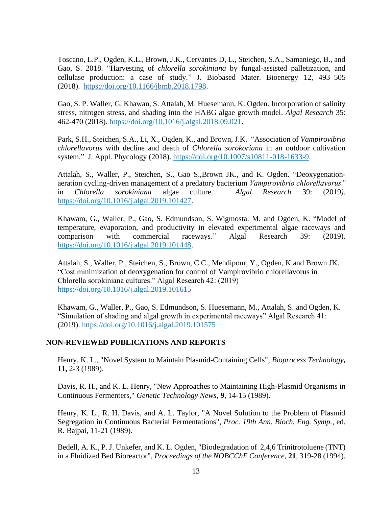Toscano, L.P., Ogden, K.L., Brown, J.K., Cervantes D, L., Steichen, S.A., Samaniego, B., and Gao, S. 2018. "Harvesting of *chlorella sorokiniana* by fungal-assisted palletization, and cellulase production: a case of study." J. Biobased Mater. Bioenergy 12, 493–505 (2018). [https://doi.org/10.1166/jbmb.2018.1798.](https://doi.org/10.1166/jbmb.2018.1798)

Gao, S. P. Waller, G. Khawan, S. Attalah, M. Huesemann, K. Ogden. Incorporation of salinity stress, nitrogen stress, and shading into the HABG algae growth model. *Algal Research* 35: 462-470 (2018). [https://doi.org/10.1016/j.algal.2018.09.021.](https://doi.org/10.1016/j.algal.2018.09.021)

Park, S.H., Steichen, S.A., Li, X., Ogden, K., and Brown, J.K. "Association of *Vampirovibrio chlorellavorus* with decline and death of *Chlorella sorokoriana* in an outdoor cultivation system." J. Appl. Phycology (2018). [https://doi.org/10.1007/s10811-018-1633-9.](https://doi.org/10.1007/s10811-018-1633-9)

Attalah, S., Waller, P., Steichen, S., Gao S.,Brown JK., and K. Ogden. "Deoxygenationaeration cycling-driven management of a predatory bacterium *Vampirovibrio chlorellavorus"* in *Chlorella sorokiniana* algae culture. *Algal Research* 39: (2019*).* [https://doi.org/10.1016/j.algal.2019.101427.](https://doi.org/10.1016/j.algal.2019.101427)

Khawam, G., Waller, P., Gao, S. Edmundson, S. Wigmosta. M. and Ogden, K. ["Model of](https://www.sciencedirect.com/science/article/pii/S2211926418311111)  [temperature, evaporation, and productivity in elevated experimental algae raceways and](https://www.sciencedirect.com/science/article/pii/S2211926418311111)  [comparison with commercial raceways.](https://www.sciencedirect.com/science/article/pii/S2211926418311111)" Algal Research 39: (2019). [https://doi.org/10.1016/j.algal.2019.101448.](https://doi.org/10.1016/j.algal.2019.101448)

Attalah, S., Waller, P., Steichen, S., Brown, C.C., Mehdipour, Y., Ogden, K and Brown JK. "Cost minimization of deoxygenation for control of Vampirovibrio chlorellavorus in Chlorella sorokiniana cultures." Algal Research 42: (2019) <https://doi.org/10.1016/j.algal.2019.101615>

Khawam, G., Waller, P., Gao, S. Edmundson, S. Huesemann, M., Attalah, S. and Ogden, K. "Simulation of shading and algal growth in experimental raceways" Algal Research 41: (2019).<https://doi.org/10.1016/j.algal.2019.101575>

## **NON-REVIEWED PUBLICATIONS AND REPORTS**

Henry, K. L., "Novel System to Maintain Plasmid-Containing Cells", *Bioprocess Technology***, 11,** 2-3 (1989).

Davis, R. H., and K. L. Henry, "New Approaches to Maintaining High-Plasmid Organisms in Continuous Fermenters," *Genetic Technology News,* **9**, 14-15 (1989).

Henry, K. L., R. H. Davis, and A. L. Taylor, "A Novel Solution to the Problem of Plasmid Segregation in Continuous Bacterial Fermentations", *Proc. 19th Ann. Bioch. Eng. Symp.*, ed. R. Bajpai, 11-21 (1989).

Bedell, A. K., P. J. Unkefer, and K. L. Ogden, "Biodegradation of 2,4,6 Trinitrotoluene (TNT) in a Fluidized Bed Bioreactor", *Proceedings of the NOBCChE Conference*, **21**, 319-28 (1994).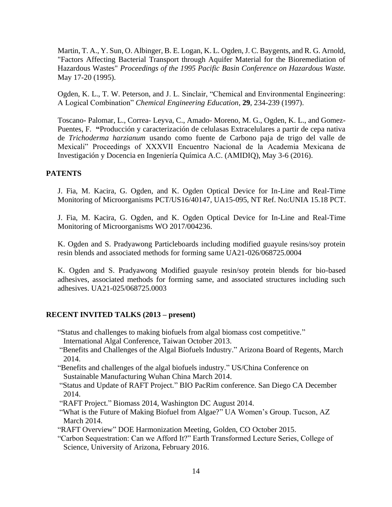Martin, T. A., Y. Sun, O. Albinger, B. E. Logan, K. L. Ogden, J. C. Baygents, and R. G. Arnold, "Factors Affecting Bacterial Transport through Aquifer Material for the Bioremediation of Hazardous Wastes" *Proceedings of the 1995 Pacific Basin Conference on Hazardous Waste.* May 17-20 (1995).

Ogden, K. L., T. W. Peterson, and J. L. Sinclair, "Chemical and Environmental Engineering: A Logical Combination" *Chemical Engineering Education*, **29**, 234-239 (1997).

Toscano- Palomar, L., Correa- Leyva, C., Amado- Moreno, M. G., Ogden, K. L., and Gomez-Puentes, F. **"**Producción y caracterización de celulasas Extracelulares a partir de cepa nativa de *Trichoderma harzianum* usando como fuente de Carbono paja de trigo del valle de Mexicali" Proceedings of XXXVII Encuentro Nacional de la Academia Mexicana de Investigación y Docencia en Ingeniería Química A.C. (AMIDIQ), May 3-6 (2016).

## **PATENTS**

J. Fia, M. Kacira, G. Ogden, and K. Ogden Optical Device for In-Line and Real-Time Monitoring of Microorganisms PCT/US16/40147, UA15-095, NT Ref. No:UNIA 15.18 PCT.

J. Fia, M. Kacira, G. Ogden, and K. Ogden Optical Device for In-Line and Real-Time Monitoring of Microorganisms WO 2017/004236.

K. Ogden and S. Pradyawong Particleboards including modified guayule resins/soy protein resin blends and associated methods for forming same UA21-026/068725.0004

K. Ogden and S. Pradyawong Modified guayule resin/soy protein blends for bio-based adhesives, associated methods for forming same, and associated structures including such adhesives. UA21-025/068725.0003

# **RECENT INVITED TALKS (2013 – present)**

- "Status and challenges to making biofuels from algal biomass cost competitive."
- International Algal Conference, Taiwan October 2013.
- "Benefits and Challenges of the Algal Biofuels Industry." Arizona Board of Regents, March 2014.
- "Benefits and challenges of the algal biofuels industry." US/China Conference on Sustainable Manufacturing Wuhan China March 2014.
- "Status and Update of RAFT Project." BIO PacRim conference. San Diego CA December 2014.
- "RAFT Project." Biomass 2014, Washington DC August 2014.
- "What is the Future of Making Biofuel from Algae?" UA Women's Group. Tucson, AZ March 2014.
- "RAFT Overview" DOE Harmonization Meeting, Golden, CO October 2015.
- "Carbon Sequestration: Can we Afford It?" Earth Transformed Lecture Series, College of Science, University of Arizona, February 2016.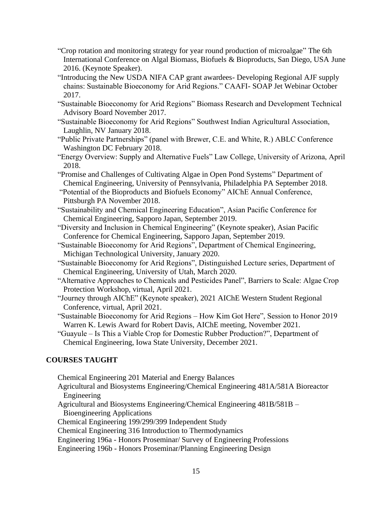- "Crop rotation and monitoring strategy for year round production of microalgae" The 6th International Conference on Algal Biomass, Biofuels & Bioproducts, San Diego, USA June 2016. (Keynote Speaker).
- "Introducing the New USDA NIFA CAP grant awardees- Developing Regional AJF supply chains: Sustainable Bioeconomy for Arid Regions." CAAFI- SOAP Jet Webinar October 2017.
- "Sustainable Bioeconomy for Arid Regions" Biomass Research and Development Technical Advisory Board November 2017.
- "Sustainable Bioeconomy for Arid Regions" Southwest Indian Agricultural Association, Laughlin, NV January 2018.
- "Public Private Partnerships" (panel with Brewer, C.E. and White, R.) ABLC Conference Washington DC February 2018.
- "Energy Overview: Supply and Alternative Fuels" Law College, University of Arizona, April 2018.
- "Promise and Challenges of Cultivating Algae in Open Pond Systems" Department of Chemical Engineering, University of Pennsylvania, Philadelphia PA September 2018.
- "Potential of the Bioproducts and Biofuels Economy" AIChE Annual Conference, Pittsburgh PA November 2018.
- "Sustainability and Chemical Engineering Education", Asian Pacific Conference for Chemical Engineering, Sapporo Japan, September 2019.
- "Diversity and Inclusion in Chemical Engineering" (Keynote speaker), Asian Pacific Conference for Chemical Engineering, Sapporo Japan, September 2019.
- "Sustainable Bioeconomy for Arid Regions", Department of Chemical Engineering, Michigan Technological University, January 2020.
- "Sustainable Bioeconomy for Arid Regions", Distinguished Lecture series, Department of Chemical Engineering, University of Utah, March 2020.
- "Alternative Approaches to Chemicals and Pesticides Panel", Barriers to Scale: Algae Crop Protection Workshop, virtual, April 2021.
- "Journey through AIChE" (Keynote speaker), 2021 AIChE Western Student Regional Conference, virtual, April 2021.
- "Sustainable Bioeconomy for Arid Regions How Kim Got Here", Session to Honor 2019 Warren K. Lewis Award for Robert Davis, AIChE meeting, November 2021.
- "Guayule Is This a Viable Crop for Domestic Rubber Production?", Department of Chemical Engineering, Iowa State University, December 2021.

## **COURSES TAUGHT**

Chemical Engineering 201 Material and Energy Balances

- Agricultural and Biosystems Engineering/Chemical Engineering 481A/581A Bioreactor Engineering
- Agricultural and Biosystems Engineering/Chemical Engineering 481B/581B Bioengineering Applications
- Chemical Engineering 199/299/399 Independent Study
- Chemical Engineering 316 Introduction to Thermodynamics

Engineering 196a - Honors Proseminar/ Survey of Engineering Professions

Engineering 196b - Honors Proseminar/Planning Engineering Design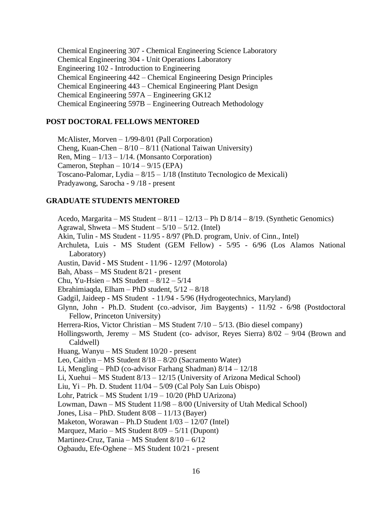Chemical Engineering 307 - Chemical Engineering Science Laboratory Chemical Engineering 304 - Unit Operations Laboratory Engineering 102 - Introduction to Engineering Chemical Engineering 442 – Chemical Engineering Design Principles Chemical Engineering 443 – Chemical Engineering Plant Design Chemical Engineering 597A – Engineering GK12 Chemical Engineering 597B – Engineering Outreach Methodology

#### **POST DOCTORAL FELLOWS MENTORED**

McAlister, Morven – 1/99-8/01 (Pall Corporation) Cheng, Kuan-Chen –  $8/10 - 8/11$  (National Taiwan University) Ren, Ming  $-1/13 - 1/14$ . (Monsanto Corporation) Cameron, Stephan –  $10/14 - 9/15$  (EPA) Toscano-Palomar, Lydia – 8/15 – 1/18 (Instituto Tecnologico de Mexicali) Pradyawong, Sarocha - 9 /18 - present

#### **GRADUATE STUDENTS MENTORED**

Acedo, Margarita – MS Student –  $8/11 - 12/13$  – Ph D  $8/14 - 8/19$ . (Synthetic Genomics) Agrawal, Shweta – MS Student –  $5/10 - 5/12$ . (Intel) Akin, Tulin - MS Student - 11/95 - 8/97 (Ph.D. program, Univ. of Cinn., Intel) Archuleta, Luis - MS Student (GEM Fellow) - 5/95 - 6/96 (Los Alamos National Laboratory) Austin, David - MS Student - 11/96 - 12/97 (Motorola) Bah, Abass – MS Student 8/21 - present Chu, Yu-Hsien – MS Student –  $8/12 - 5/14$ Ebrahimiagda, Elham – PhD student,  $5/12 - 8/18$ Gadgil, Jaideep - MS Student - 11/94 - 5/96 (Hydrogeotechnics, Maryland) Glynn, John - Ph.D. Student (co.-advisor, Jim Baygents) - 11/92 - 6/98 (Postdoctoral Fellow, Princeton University) Herrera-Rios, Victor Christian – MS Student 7/10 – 5/13. (Bio diesel company) Hollingsworth, Jeremy – MS Student (co- advisor, Reyes Sierra) 8/02 – 9/04 (Brown and Caldwell) Huang, Wanyu – MS Student 10/20 - present Leo, Caitlyn – MS Student 8/18 – 8/20 (Sacramento Water) Li, Mengling – PhD (co-advisor Farhang Shadman) 8/14 – 12/18 Li, Xuehui – MS Student 8/13 – 12/15 (University of Arizona Medical School) Liu, Yi – Ph. D. Student 11/04 – 5/09 (Cal Poly San Luis Obispo) Lohr, Patrick – MS Student 1/19 – 10/20 (PhD UArizona) Lowman, Dawn – MS Student 11/98 – 8/00 (University of Utah Medical School) Jones, Lisa – PhD. Student 8/08 – 11/13 (Bayer) Maketon, Worawan – Ph.D Student 1/03 – 12/07 (Intel) Marquez, Mario – MS Student 8/09 – 5/11 (Dupont) Martinez-Cruz, Tania – MS Student 8/10 – 6/12 Ogbaudu, Efe-Oghene – MS Student 10/21 - present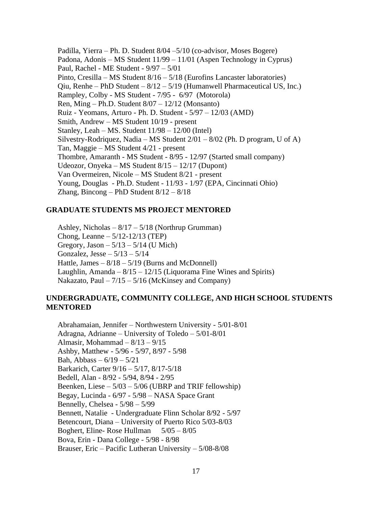Padilla, Yierra – Ph. D. Student 8/04 –5/10 (co-advisor, Moses Bogere) Padona, Adonis – MS Student 11/99 – 11/01 (Aspen Technology in Cyprus) Paul, Rachel - ME Student - 9/97 – 5/01 Pinto, Cresilla – MS Student 8/16 – 5/18 (Eurofins Lancaster laboratories) Qiu, Renhe – PhD Student –  $8/12 - 5/19$  (Humanwell Pharmaceutical US, Inc.) Rampley, Colby - MS Student - 7/95 - 6/97 (Motorola) Ren, Ming – Ph.D. Student  $8/07 - 12/12$  (Monsanto) Ruiz - Yeomans, Arturo - Ph. D. Student - 5/97 – 12/03 (AMD) Smith, Andrew – MS Student 10/19 - present Stanley, Leah – MS. Student  $11/98 - 12/00$  (Intel) Silvestry-Rodriquez, Nadia – MS Student  $2/01 - 8/02$  (Ph. D program, U of A) Tan, Maggie – MS Student 4/21 - present Thombre, Amaranth - MS Student - 8/95 - 12/97 (Started small company) Udeozor, Onyeka – MS Student 8/15 – 12/17 (Dupont) Van Overmeiren, Nicole – MS Student 8/21 - present Young, Douglas - Ph.D. Student - 11/93 - 1/97 (EPA, Cincinnati Ohio) Zhang, Bincong – PhD Student  $8/12 - 8/18$ 

#### **GRADUATE STUDENTS MS PROJECT MENTORED**

Ashley, Nicholas – 8/17 – 5/18 (Northrup Grumman) Chong, Leanne – 5/12-12/13 (TEP) Gregory, Jason  $-5/13 - 5/14$  (U Mich) Gonzalez, Jesse –  $5/13 - 5/14$ Hattle, James  $-8/18 - 5/19$  (Burns and McDonnell) Laughlin, Amanda –  $8/15 - 12/15$  (Liquorama Fine Wines and Spirits) Nakazato, Paul  $-7/15 - 5/16$  (McKinsey and Company)

## **UNDERGRADUATE, COMMUNITY COLLEGE, AND HIGH SCHOOL STUDENTS MENTORED**

Abrahamaian, Jennifer – Northwestern University - 5/01-8/01 Adragna, Adrianne – University of Toledo – 5/01-8/01 Almasir, Mohammad  $-8/13 - 9/15$ Ashby, Matthew - 5/96 - 5/97, 8/97 - 5/98 Bah, Abbass –  $6/19 - 5/21$ Barkarich, Carter 9/16 – 5/17, 8/17-5/18 Bedell, Alan - 8/92 - 5/94, 8/94 - 2/95 Beenken, Liese  $-5/03 - 5/06$  (UBRP and TRIF fellowship) Begay, Lucinda - 6/97 - 5/98 – NASA Space Grant Bennelly, Chelsea - 5/98 – 5/99 Bennett, Natalie - Undergraduate Flinn Scholar 8/92 - 5/97 Betencourt, Diana – University of Puerto Rico 5/03-8/03 Boghert, Eline- Rose Hullman 5/05 – 8/05 Bova, Erin - Dana College - 5/98 - 8/98 Brauser, Eric – Pacific Lutheran University – 5/08-8/08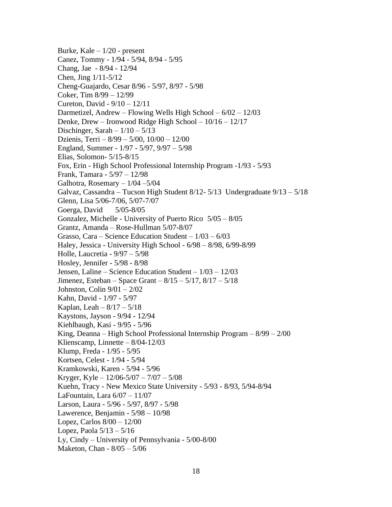Burke, Kale – 1/20 - present Canez, Tommy - 1/94 - 5/94, 8/94 - 5/95 Chang, Jae - 8/94 - 12/94 Chen, Jing 1/11-5/12 Cheng-Guajardo, Cesar 8/96 - 5/97, 8/97 - 5/98 Coker, Tim 8/99 – 12/99 Cureton, David - 9/10 – 12/11 Darmetizel, Andrew – Flowing Wells High School – 6/02 – 12/03 Denke, Drew – Ironwood Ridge High School – 10/16 – 12/17 Dischinger, Sarah –  $1/10 - 5/13$ Dzienis, Terri – 8/99 – 5/00, 10/00 – 12/00 England, Summer - 1/97 - 5/97, 9/97 – 5/98 Elias, Solomon- 5/15-8/15 Fox, Erin - High School Professional Internship Program -1/93 - 5/93 Frank, Tamara - 5/97 – 12/98 Galhotra, Rosemary  $-1/04 - 5/04$ Galvaz, Cassandra – Tucson High Student 8/12- 5/13 Undergraduate 9/13 – 5/18 Glenn, Lisa 5/06-7/06, 5/07-7/07 Goerga, David 5/05-8/05 Gonzalez, Michelle - University of Puerto Rico 5/05 – 8/05 Grantz, Amanda – Rose-Hullman 5/07-8/07 Grasso, Cara – Science Education Student –  $1/03 - 6/03$ Haley, Jessica - University High School - 6/98 – 8/98, 6/99-8/99 Holle, Laucretia - 9/97 – 5/98 Hosley, Jennifer - 5/98 - 8/98 Jensen, Laline – Science Education Student – 1/03 – 12/03 Jimenez, Esteban – Space Grant – 8/15 – 5/17, 8/17 – 5/18 Johnston, Colin 9/01 – 2/02 Kahn, David - 1/97 - 5/97 Kaplan, Leah –  $8/17 - 5/18$ Kaystons, Jayson - 9/94 - 12/94 Kiehlbaugh, Kasi - 9/95 - 5/96 King, Deanna – High School Professional Internship Program – 8/99 – 2/00 Klienscamp, Linnette  $-8/04-12/03$ Klump, Freda - 1/95 - 5/95 Kortsen, Celest - 1/94 - 5/94 Kramkowski, Karen - 5/94 - 5/96 Kryger, Kyle –  $12/06 - 5/07 - 7/07 - 5/08$ Kuehn, Tracy - New Mexico State University - 5/93 - 8/93, 5/94-8/94 LaFountain, Lara 6/07 – 11/07 Larson, Laura - 5/96 - 5/97, 8/97 - 5/98 Lawerence, Benjamin - 5/98 – 10/98 Lopez, Carlos 8/00 – 12/00 Lopez, Paola 5/13 – 5/16 Ly, Cindy – University of Pennsylvania - 5/00-8/00 Maketon, Chan - 8/05 – 5/06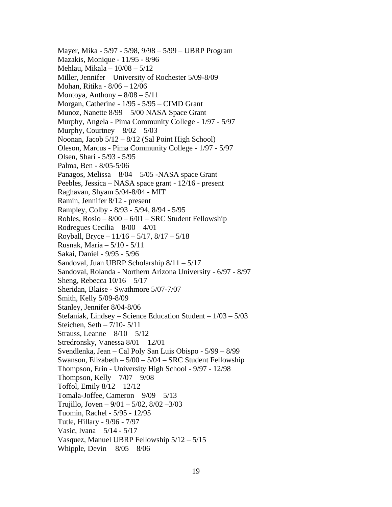Mayer, Mika - 5/97 - 5/98, 9/98 – 5/99 – UBRP Program Mazakis, Monique - 11/95 - 8/96 Mehlau, Mikala – 10/08 – 5/12 Miller, Jennifer – University of Rochester 5/09-8/09 Mohan, Ritika - 8/06 – 12/06 Montoya, Anthony  $-8/08 - 5/11$ Morgan, Catherine - 1/95 - 5/95 – CIMD Grant Munoz, Nanette 8/99 – 5/00 NASA Space Grant Murphy, Angela - Pima Community College - 1/97 - 5/97 Murphy, Courtney  $-8/02 - 5/03$ Noonan, Jacob 5/12 – 8/12 (Sal Point High School) Oleson, Marcus - Pima Community College - 1/97 - 5/97 Olsen, Shari - 5/93 - 5/95 Palma, Ben - 8/05-5/06 Panagos, Melissa – 8/04 – 5/05 -NASA space Grant Peebles, Jessica – NASA space grant - 12/16 - present Raghavan, Shyam 5/04-8/04 - MIT Ramin, Jennifer 8/12 - present Rampley, Colby - 8/93 - 5/94, 8/94 - 5/95 Robles,  $Rosio - 8/00 - 6/01 - SRC$  Student Fellowship Rodregues Cecilia – 8/00 – 4/01 Royball, Bryce – 11/16 – 5/17, 8/17 – 5/18 Rusnak, Maria – 5/10 - 5/11 Sakai, Daniel - 9/95 - 5/96 Sandoval, Juan UBRP Scholarship 8/11 – 5/17 Sandoval, Rolanda - Northern Arizona University - 6/97 - 8/97 Sheng, Rebecca  $10/16 - 5/17$ Sheridan, Blaise - Swathmore 5/07-7/07 Smith, Kelly 5/09-8/09 Stanley, Jennifer 8/04-8/06 Stefaniak, Lindsey – Science Education Student – 1/03 – 5/03 Steichen, Seth – 7/10- 5/11 Strauss, Leanne –  $8/10 - 5/12$ Stredronsky, Vanessa 8/01 – 12/01 Svendlenka, Jean – Cal Poly San Luis Obispo - 5/99 – 8/99 Swanson, Elizabeth – 5/00 – 5/04 – SRC Student Fellowship Thompson, Erin - University High School - 9/97 - 12/98 Thompson, Kelly  $-7/07 - 9/08$ Toffol, Emily 8/12 – 12/12 Tomala-Joffee, Cameron  $-9/09 - 5/13$ Trujillo, Joven –  $9/01 - 5/02$ ,  $8/02 - 3/03$ Tuomin, Rachel - 5/95 - 12/95 Tutle, Hillary - 9/96 - 7/97 Vasic, Ivana – 5/14 - 5/17 Vasquez, Manuel UBRP Fellowship 5/12 – 5/15 Whipple, Devin  $8/05 - 8/06$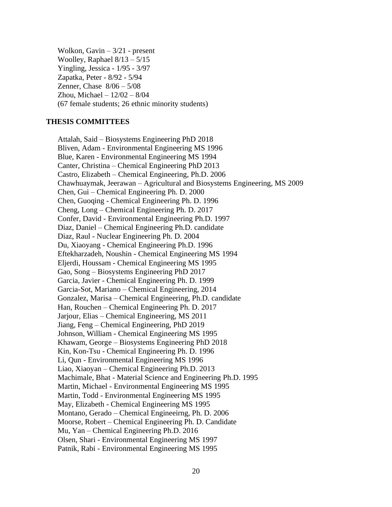Wolkon, Gavin – 3/21 - present Woolley, Raphael 8/13 – 5/15 Yingling, Jessica - 1/95 - 3/97 Zapatka, Peter - 8/92 - 5/94 Zenner, Chase 8/06 – 5/08 Zhou, Michael – 12/02 – 8/04 (67 female students; 26 ethnic minority students)

#### **THESIS COMMITTEES**

Attalah, Said – Biosystems Engineering PhD 2018 Bliven, Adam - Environmental Engineering MS 1996 Blue, Karen - Environmental Engineering MS 1994 Canter, Christina – Chemical Engineering PhD 2013 Castro, Elizabeth – Chemical Engineering, Ph.D. 2006 Chawhuaymak, Jeerawan – Agricultural and Biosystems Engineering, MS 2009 Chen, Gui – Chemical Engineering Ph. D. 2000 Chen, Guoqing - Chemical Engineering Ph. D. 1996 Cheng, Long – Chemical Engineering Ph. D. 2017 Confer, David - Environmental Engineering Ph.D. 1997 Diaz, Daniel – Chemical Engineering Ph.D. candidate Diaz, Raul - Nuclear Engineering Ph. D. 2004 Du, Xiaoyang - Chemical Engineering Ph.D. 1996 Eftekharzadeh, Noushin - Chemical Engineering MS 1994 Eljerdi, Houssam - Chemical Engineering MS 1995 Gao, Song – Biosystems Engineering PhD 2017 Garcia, Javier - Chemical Engineering Ph. D. 1999 Garcia-Sot, Mariano – Chemical Engineering, 2014 Gonzalez, Marisa – Chemical Engineering, Ph.D. candidate Han, Rouchen – Chemical Engineering Ph. D. 2017 Jarjour, Elias – Chemical Engineering, MS 2011 Jiang, Feng – Chemical Engineering, PhD 2019 Johnson, William - Chemical Engineering MS 1995 Khawam, George – Biosystems Engineering PhD 2018 Kin, Kon-Tsu - Chemical Engineering Ph. D. 1996 Li, Qun - Environmental Engineering MS 1996 Liao, Xiaoyan – Chemical Engineering Ph.D. 2013 Machimale, Bhat - Material Science and Engineering Ph.D. 1995 Martin, Michael - Environmental Engineering MS 1995 Martin, Todd - Environmental Engineering MS 1995 May, Elizabeth - Chemical Engineering MS 1995 Montano, Gerado – Chemical Engineeirng, Ph. D. 2006 Moorse, Robert – Chemical Engineering Ph. D. Candidate Mu, Yan – Chemical Engineering Ph.D. 2016 Olsen, Shari - Environmental Engineering MS 1997 Patnik, Rabi - Environmental Engineering MS 1995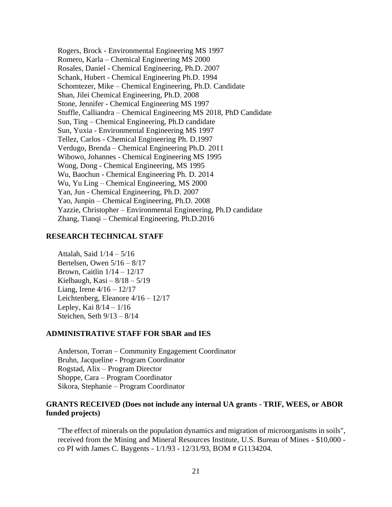Rogers, Brock - Environmental Engineering MS 1997 Romero, Karla – Chemical Engineering MS 2000 Rosales, Daniel - Chemical Engineering, Ph.D. 2007 Schank, Hubert - Chemical Engineering Ph.D. 1994 Schomtezer, Mike – Chemical Engineering, Ph.D. Candidate Shan, Jilei Chemical Engineering, Ph.D. 2008 Stone, Jennifer - Chemical Engineering MS 1997 Stuffle, Calliandra – Chemical Engineering MS 2018, PhD Candidate Sun, Ting – Chemical Engineering, Ph.D candidate Sun, Yuxia - Environmental Engineering MS 1997 Tellez, Carlos - Chemical Engineering Ph. D.1997 Verdugo, Brenda – Chemical Engineering Ph.D. 2011 Wibowo, Johannes - Chemical Engineering MS 1995 Wong, Dong - Chemical Engineering, MS 1995 Wu, Baochun - Chemical Engineering Ph. D. 2014 Wu, Yu Ling – Chemical Engineering, MS 2000 Yan, Jun - Chemical Engineering, Ph.D. 2007 Yao, Junpin – Chemical Engineering, Ph.D. 2008 Yazzie, Christopher – Environmental Engineering, Ph.D candidate Zhang, Tianqi – Chemical Engineering, Ph.D.2016

## **RESEARCH TECHNICAL STAFF**

Attalah, Said 1/14 – 5/16 Bertelsen, Owen 5/16 – 8/17 Brown, Caitlin 1/14 – 12/17 Kielbaugh, Kasi –  $8/18 - 5/19$ Liang, Irene  $4/16 - 12/17$ Leichtenberg, Eleanore 4/16 – 12/17 Lepley, Kai 8/14 – 1/16 Steichen, Seth 9/13 – 8/14

#### **ADMINISTRATIVE STAFF FOR SBAR and IES**

Anderson, Torran – Community Engagement Coordinator Bruhn, Jacqueline - Program Coordinator Rogstad, Alix – Program Director Shoppe, Cara – Program Coordinator Sikora, Stephanie – Program Coordinator

## **GRANTS RECEIVED (Does not include any internal UA grants - TRIF, WEES, or ABOR funded projects)**

"The effect of minerals on the population dynamics and migration of microorganisms in soils", received from the Mining and Mineral Resources Institute, U.S. Bureau of Mines - \$10,000 co PI with James C. Baygents - 1/1/93 - 12/31/93, BOM # G1134204.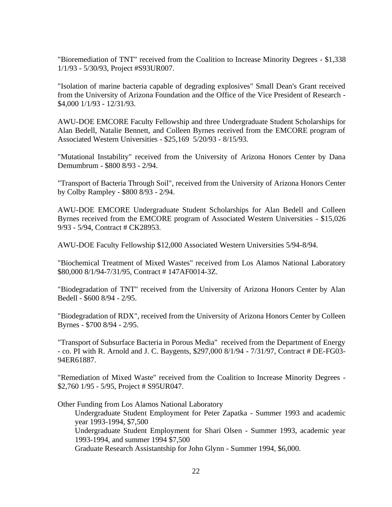"Bioremediation of TNT" received from the Coalition to Increase Minority Degrees - \$1,338 1/1/93 - 5/30/93, Project #S93UR007.

"Isolation of marine bacteria capable of degrading explosives" Small Dean's Grant received from the University of Arizona Foundation and the Office of the Vice President of Research - \$4,000 1/1/93 - 12/31/93.

AWU-DOE EMCORE Faculty Fellowship and three Undergraduate Student Scholarships for Alan Bedell, Natalie Bennett, and Colleen Byrnes received from the EMCORE program of Associated Western Universities - \$25,169 5/20/93 - 8/15/93.

"Mutational Instability" received from the University of Arizona Honors Center by Dana Demumbrum - \$800 8/93 - 2/94.

"Transport of Bacteria Through Soil", received from the University of Arizona Honors Center by Colby Rampley - \$800 8/93 - 2/94.

AWU-DOE EMCORE Undergraduate Student Scholarships for Alan Bedell and Colleen Byrnes received from the EMCORE program of Associated Western Universities - \$15,026 9/93 - 5/94, Contract # CK28953.

AWU-DOE Faculty Fellowship \$12,000 Associated Western Universities 5/94-8/94.

"Biochemical Treatment of Mixed Wastes" received from Los Alamos National Laboratory \$80,000 8/1/94-7/31/95, Contract # 147AF0014-3Z.

"Biodegradation of TNT" received from the University of Arizona Honors Center by Alan Bedell - \$600 8/94 - 2/95.

"Biodegradation of RDX", received from the University of Arizona Honors Center by Colleen Byrnes - \$700 8/94 - 2/95.

"Transport of Subsurface Bacteria in Porous Media" received from the Department of Energy - co. PI with R. Arnold and J. C. Baygents, \$297,000 8/1/94 - 7/31/97, Contract # DE-FG03- 94ER61887.

"Remediation of Mixed Waste" received from the Coalition to Increase Minority Degrees - \$2,760 1/95 - 5/95, Project # S95UR047.

Other Funding from Los Alamos National Laboratory

Undergraduate Student Employment for Peter Zapatka - Summer 1993 and academic year 1993-1994, \$7,500

Undergraduate Student Employment for Shari Olsen - Summer 1993, academic year 1993-1994, and summer 1994 \$7,500

Graduate Research Assistantship for John Glynn - Summer 1994, \$6,000.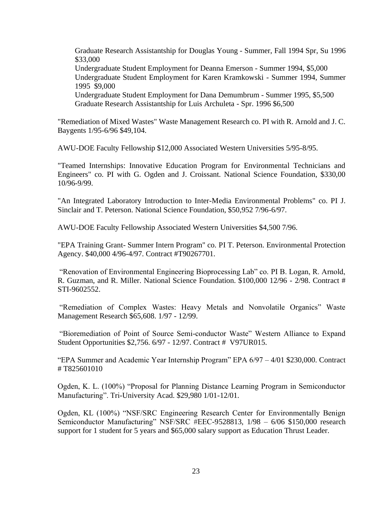Graduate Research Assistantship for Douglas Young - Summer, Fall 1994 Spr, Su 1996 \$33,000 Undergraduate Student Employment for Deanna Emerson - Summer 1994, \$5,000 Undergraduate Student Employment for Karen Kramkowski - Summer 1994, Summer 1995 \$9,000 Undergraduate Student Employment for Dana Demumbrum - Summer 1995, \$5,500 Graduate Research Assistantship for Luis Archuleta - Spr. 1996 \$6,500

"Remediation of Mixed Wastes" Waste Management Research co. PI with R. Arnold and J. C. Baygents 1/95-6/96 \$49,104.

AWU-DOE Faculty Fellowship \$12,000 Associated Western Universities 5/95-8/95.

"Teamed Internships: Innovative Education Program for Environmental Technicians and Engineers" co. PI with G. Ogden and J. Croissant. National Science Foundation, \$330,00 10/96-9/99.

"An Integrated Laboratory Introduction to Inter-Media Environmental Problems" co. PI J. Sinclair and T. Peterson. National Science Foundation, \$50,952 7/96-6/97.

AWU-DOE Faculty Fellowship Associated Western Universities \$4,500 7/96.

"EPA Training Grant- Summer Intern Program" co. PI T. Peterson. Environmental Protection Agency. \$40,000 4/96-4/97. Contract #T90267701.

"Renovation of Environmental Engineering Bioprocessing Lab" co. PI B. Logan, R. Arnold, R. Guzman, and R. Miller. National Science Foundation. \$100,000 12/96 - 2/98. Contract # STI-9602552.

"Remediation of Complex Wastes: Heavy Metals and Nonvolatile Organics" Waste Management Research \$65,608. 1/97 - 12/99.

"Bioremediation of Point of Source Semi-conductor Waste" Western Alliance to Expand Student Opportunities \$2,756. 6/97 - 12/97. Contract # V97UR015.

"EPA Summer and Academic Year Internship Program" EPA 6/97 – 4/01 \$230,000. Contract # T825601010

Ogden, K. L. (100%) "Proposal for Planning Distance Learning Program in Semiconductor Manufacturing". Tri-University Acad. \$29,980 1/01-12/01.

Ogden, KL (100%) "NSF/SRC Engineering Research Center for Environmentally Benign Semiconductor Manufacturing" NSF/SRC #EEC-9528813, 1/98 – 6/06 \$150,000 research support for 1 student for 5 years and \$65,000 salary support as Education Thrust Leader.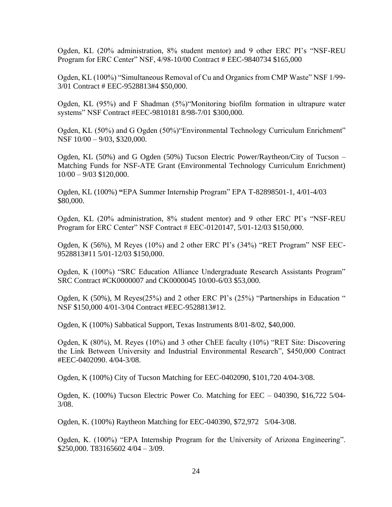Ogden, KL (20% administration, 8% student mentor) and 9 other ERC PI's "NSF-REU Program for ERC Center" NSF, 4/98-10/00 Contract # EEC-9840734 \$165,000

Ogden, KL (100%) "Simultaneous Removal of Cu and Organics from CMP Waste" NSF 1/99- 3/01 Contract # EEC-9528813#4 \$50,000.

Ogden, KL (95%) and F Shadman (5%)"Monitoring biofilm formation in ultrapure water systems" NSF Contract #EEC-9810181 8/98-7/01 \$300,000.

Ogden, KL (50%) and G Ogden (50%)"Environmental Technology Curriculum Enrichment" NSF 10/00 – 9/03, \$320,000.

Ogden, KL (50%) and G Ogden (50%) Tucson Electric Power/Raytheon/City of Tucson – Matching Funds for NSF-ATE Grant (Environmental Technology Curriculum Enrichment) 10/00 – 9/03 \$120,000.

Ogden, KL (100%) **"**EPA Summer Internship Program" EPA T-82898501-1, 4/01-4/03 \$80,000.

Ogden, KL (20% administration, 8% student mentor) and 9 other ERC PI's "NSF-REU Program for ERC Center" NSF Contract # EEC-0120147, 5/01-12/03 \$150,000.

Ogden, K (56%), M Reyes (10%) and 2 other ERC PI's (34%) "RET Program" NSF EEC-9528813#11 5/01-12/03 \$150,000.

Ogden, K (100%) "SRC Education Alliance Undergraduate Research Assistants Program" SRC Contract #CK0000007 and CK0000045 10/00-6/03 \$53,000.

Ogden, K (50%), M Reyes(25%) and 2 other ERC PI's (25%) "Partnerships in Education " NSF \$150,000 4/01-3/04 Contract #EEC-9528813#12.

Ogden, K (100%) Sabbatical Support, Texas Instruments 8/01-8/02, \$40,000.

Ogden, K (80%), M. Reyes (10%) and 3 other ChEE faculty (10%) "RET Site: Discovering the Link Between University and Industrial Environmental Research", \$450,000 Contract #EEC-0402090. 4/04-3/08.

Ogden, K (100%) City of Tucson Matching for EEC-0402090, \$101,720 4/04-3/08.

Ogden, K. (100%) Tucson Electric Power Co. Matching for EEC – 040390, \$16,722 5/04- 3/08.

Ogden, K. (100%) Raytheon Matching for EEC-040390, \$72,972 5/04-3/08.

Ogden, K. (100%) "EPA Internship Program for the University of Arizona Engineering". \$250,000. T83165602 4/04 – 3/09.